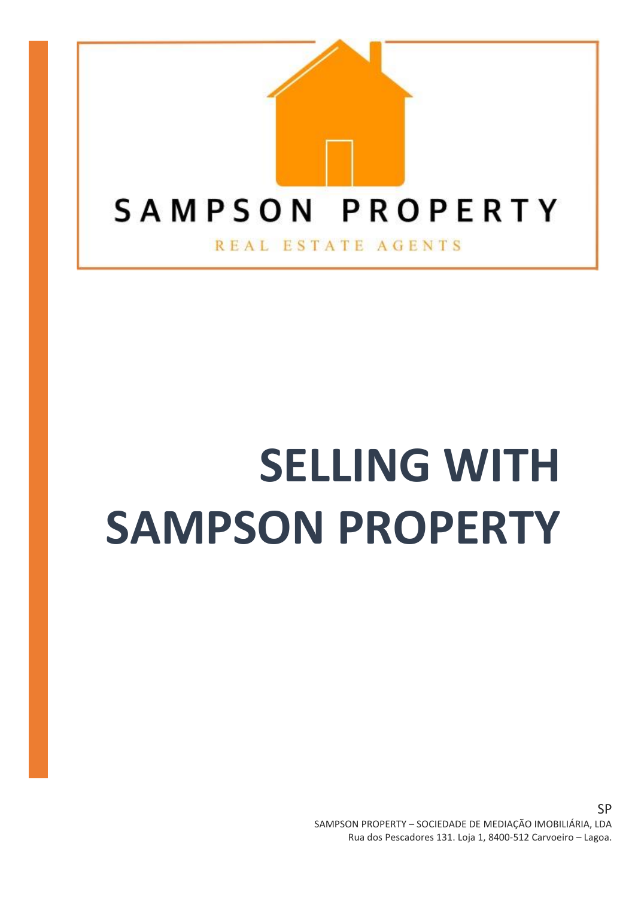

# **SELLING WITH SAMPSON PROPERTY**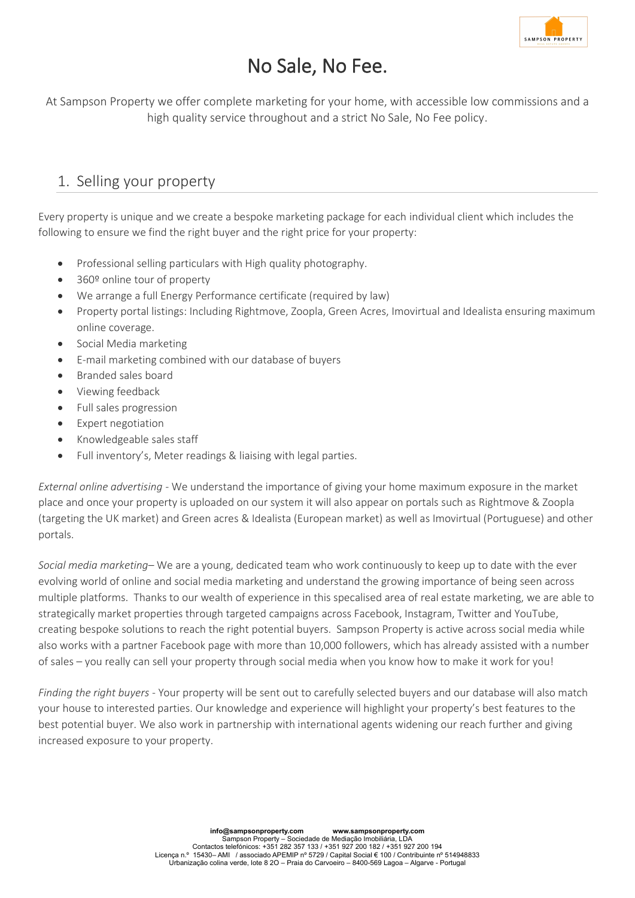

# No Sale, No Fee.

At Sampson Property we offer complete marketing for your home, with accessible low commissions and a high quality service throughout and a strict No Sale, No Fee policy.

## 1. Selling your property

Every property is unique and we create a bespoke marketing package for each individual client which includes the following to ensure we find the right buyer and the right price for your property:

- Professional selling particulars with High quality photography.
- 360º online tour of property
- We arrange a full Energy Performance certificate (required by law)
- Property portal listings: Including Rightmove, Zoopla, Green Acres, Imovirtual and Idealista ensuring maximum online coverage.
- Social Media marketing
- E-mail marketing combined with our database of buyers
- Branded sales board
- Viewing feedback
- Full sales progression
- Expert negotiation
- Knowledgeable sales staff
- Full inventory's, Meter readings & liaising with legal parties.

*External online advertising* - We understand the importance of giving your home maximum exposure in the market place and once your property is uploaded on our system it will also appear on portals such as Rightmove & Zoopla (targeting the UK market) and Green acres & Idealista (European market) as well as Imovirtual (Portuguese) and other portals.

*Social media marketing*– We are a young, dedicated team who work continuously to keep up to date with the ever evolving world of online and social media marketing and understand the growing importance of being seen across multiple platforms. Thanks to our wealth of experience in this specalised area of real estate marketing, we are able to strategically market properties through targeted campaigns across Facebook, Instagram, Twitter and YouTube, creating bespoke solutions to reach the right potential buyers. Sampson Property is active across social media while also works with a partner Facebook page with more than 10,000 followers, which has already assisted with a number of sales – you really can sell your property through social media when you know how to make it work for you!

*Finding the right buyers* - Your property will be sent out to carefully selected buyers and our database will also match your house to interested parties. Our knowledge and experience will highlight your property's best features to the best potential buyer. We also work in partnership with international agents widening our reach further and giving increased exposure to your property.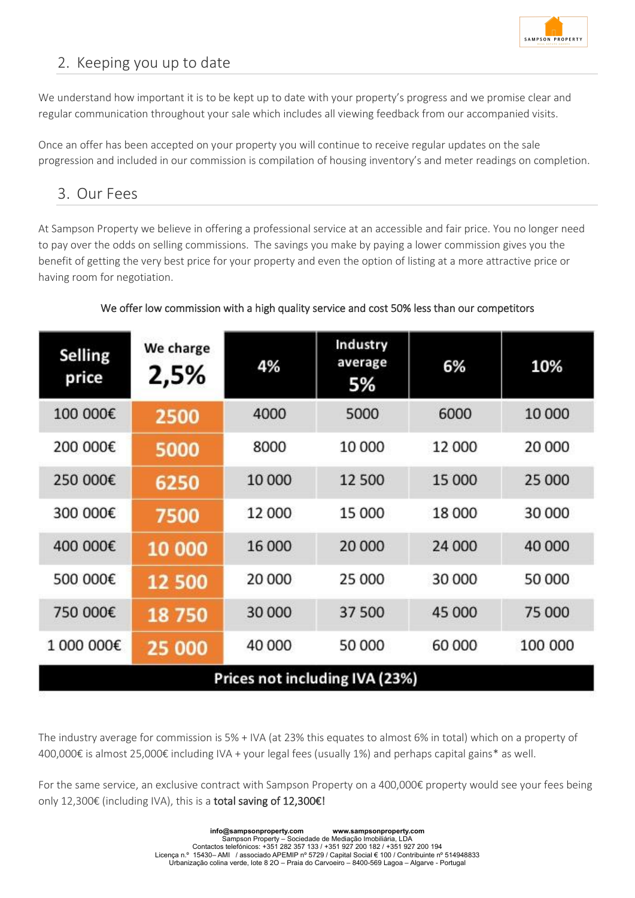

# 2. Keeping you up to date

We understand how important it is to be kept up to date with your property's progress and we promise clear and regular communication throughout your sale which includes all viewing feedback from our accompanied visits.

Once an offer has been accepted on your property you will continue to receive regular updates on the sale progression and included in our commission is compilation of housing inventory's and meter readings on completion.

### 3. Our Fees

At Sampson Property we believe in offering a professional service at an accessible and fair price. You no longer need to pay over the odds on selling commissions. The savings you make by paying a lower commission gives you the benefit of getting the very best price for your property and even the option of listing at a more attractive price or having room for negotiation.

#### We offer low commission with a high quality service and cost 50% less than our competitors

| Selling<br>price               | We charge<br>2,5% | 4%     | Industry<br>average<br>5% | 6%     | 10%     |
|--------------------------------|-------------------|--------|---------------------------|--------|---------|
| 100 000€                       | 2500              | 4000   | 5000                      | 6000   | 10 000  |
| 200 000€                       | 5000              | 8000   | 10 000                    | 12 000 | 20 000  |
| 250 000€                       | 6250              | 10 000 | 12 500                    | 15 000 | 25 000  |
| 300 000€                       | 7500              | 12 000 | 15 000                    | 18 000 | 30 000  |
| 400 000€                       | 10 000            | 16 000 | 20 000                    | 24 000 | 40 000  |
| 500 000€                       | 12 500            | 20 000 | 25 000                    | 30 000 | 50 000  |
| 750 000€                       | 18750             | 30 000 | 37 500                    | 45 000 | 75 000  |
| 1 000 000€                     | 25 000            | 40 000 | 50 000                    | 60 000 | 100 000 |
| Prices not including IVA (23%) |                   |        |                           |        |         |

The industry average for commission is 5% + IVA (at 23% this equates to almost 6% in total) which on a property of 400,000€ is almost 25,000€ including IVA + your legal fees (usually 1%) and perhaps capital gains\* as well.

For the same service, an exclusive contract with Sampson Property on a 400,000€ property would see your fees being only 12,300€ (including IVA), this is a total saving of 12,300€!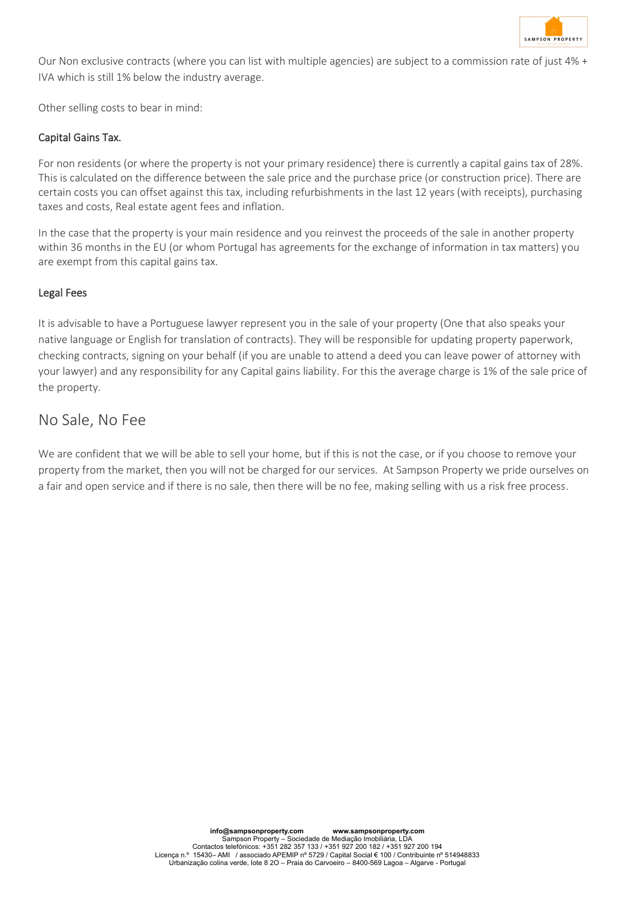

Our Non exclusive contracts (where you can list with multiple agencies) are subject to a commission rate of just 4% + IVA which is still 1% below the industry average.

Other selling costs to bear in mind:

#### Capital Gains Tax.

For non residents (or where the property is not your primary residence) there is currently a capital gains tax of 28%. This is calculated on the difference between the sale price and the purchase price (or construction price). There are certain costs you can offset against this tax, including refurbishments in the last 12 years (with receipts), purchasing taxes and costs, Real estate agent fees and inflation.

In the case that the property is your main residence and you reinvest the proceeds of the sale in another property within 36 months in the EU (or whom Portugal has agreements for the exchange of information in tax matters) you are exempt from this capital gains tax.

#### Legal Fees

It is advisable to have a Portuguese lawyer represent you in the sale of your property (One that also speaks your native language or English for translation of contracts). They will be responsible for updating property paperwork, checking contracts, signing on your behalf (if you are unable to attend a deed you can leave power of attorney with your lawyer) and any responsibility for any Capital gains liability. For this the average charge is 1% of the sale price of the property.

## No Sale, No Fee

We are confident that we will be able to sell your home, but if this is not the case, or if you choose to remove your property from the market, then you will not be charged for our services. At Sampson Property we pride ourselves on a fair and open service and if there is no sale, then there will be no fee, making selling with us a risk free process.